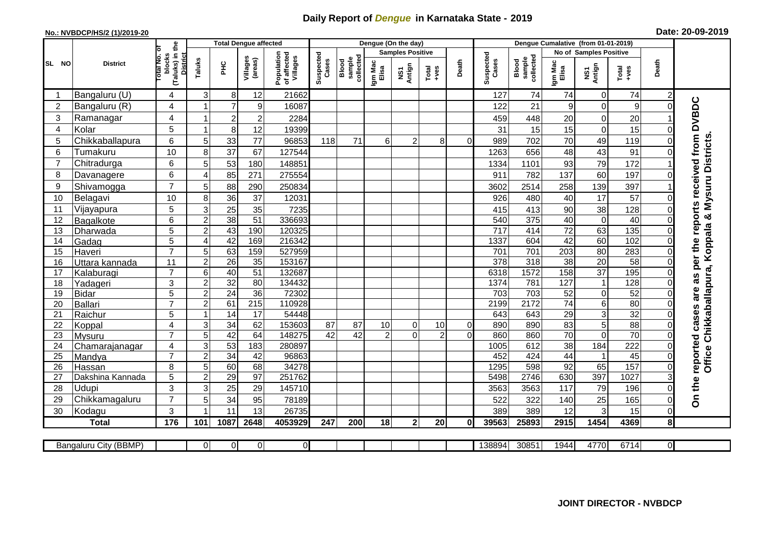## **Daily Report of** *Dengue* **in Karnataka State - 2019**

## **No.: NVBDCP/HS/2 (1)/2019-20 Date: 20-09-2019**

|                        |                           |                                                          |                     | <b>Total Dengue affected</b> |                         |                                       |                    |                                     |                  | Dengue (On the day)     |                                                                                                                                                                                                                                                                                                                                                                                                                                                                                                                                                               |                |              |             |                 |                         |                 |                |                                                    |
|------------------------|---------------------------|----------------------------------------------------------|---------------------|------------------------------|-------------------------|---------------------------------------|--------------------|-------------------------------------|------------------|-------------------------|---------------------------------------------------------------------------------------------------------------------------------------------------------------------------------------------------------------------------------------------------------------------------------------------------------------------------------------------------------------------------------------------------------------------------------------------------------------------------------------------------------------------------------------------------------------|----------------|--------------|-------------|-----------------|-------------------------|-----------------|----------------|----------------------------------------------------|
|                        |                           |                                                          |                     |                              |                         |                                       |                    |                                     |                  | <b>Samples Positive</b> | Dengue Cumalative (from 01-01-2019)<br>No of Samples Positive<br>Suspected<br>collected<br>Blood<br>sample<br>Cases<br>Death<br>Igm Mac<br>Elisa<br>Total<br>+ves<br>127<br>74<br>74<br>9<br>122<br>21<br>20<br>459<br>448<br>15<br>31<br>15<br>70<br>702<br>8<br>989<br>$\Omega$<br>1263<br>656<br>48<br>93<br>1334<br>1101<br>911<br>782<br>137<br>258<br>2514<br>3602<br>926<br>40<br>480<br>413<br>90<br>415<br>540<br>375<br>40<br>72<br>$\overline{717}$<br>414<br>42<br>1337<br>604<br>701<br>203<br>701<br>318<br>$\overline{378}$<br>$\overline{38}$ |                |              |             |                 |                         |                 |                |                                                    |
| <b>SL</b><br><b>NO</b> | <b>District</b>           | blocks<br>(Taluks) in the<br><b>District</b><br>otal No. | Taluks              | нc                           | Villages<br>(areas)     | Population<br>of affected<br>Villages | Suspected<br>Cases | sample<br>collected<br><b>Blood</b> | Igm Mac<br>Elisa | Antign<br>ŠΝ            |                                                                                                                                                                                                                                                                                                                                                                                                                                                                                                                                                               |                |              |             |                 | NS1<br>Antign           | Total<br>+ves   | Death          |                                                    |
|                        | Bangaluru (U)             | 4                                                        | $\mathsf 3$         | 8                            | 12                      | 21662                                 |                    |                                     |                  |                         |                                                                                                                                                                                                                                                                                                                                                                                                                                                                                                                                                               |                |              |             |                 | $\mathbf 0$             | 74              |                |                                                    |
| $\overline{2}$         | Bangaluru (R)             | 4                                                        |                     | $\overline{7}$               | $\boldsymbol{9}$        | 16087                                 |                    |                                     |                  |                         |                                                                                                                                                                                                                                                                                                                                                                                                                                                                                                                                                               |                |              |             |                 | $\mathbf 0$             | 9               | $\Omega$       |                                                    |
| 3                      | Ramanagar                 | 4                                                        | 1                   | $\boldsymbol{2}$             | $\overline{\mathbf{c}}$ | 2284                                  |                    |                                     |                  |                         |                                                                                                                                                                                                                                                                                                                                                                                                                                                                                                                                                               |                |              |             |                 | 0                       | 20              |                | as per the reports received from DVBDC             |
| 4                      | Kolar                     | 5                                                        | 1                   | 8                            | 12                      | 19399                                 |                    |                                     |                  |                         |                                                                                                                                                                                                                                                                                                                                                                                                                                                                                                                                                               |                |              |             |                 | $\mathbf 0$             | 15              |                |                                                    |
| 5                      | Chikkaballapura           | 6                                                        | 5                   | 33                           | 77                      | 96853                                 | 118                | 71                                  | 6                | $\overline{2}$          |                                                                                                                                                                                                                                                                                                                                                                                                                                                                                                                                                               |                |              |             |                 | 49                      | 119             |                | Office Chikkaballapura, Koppala & Mysuru Districts |
| 6                      | Tumakuru                  | 10                                                       | 8                   | 37                           | 67                      | 127544                                |                    |                                     |                  |                         |                                                                                                                                                                                                                                                                                                                                                                                                                                                                                                                                                               |                |              |             |                 | 43                      | 91              |                |                                                    |
| $\overline{7}$         | Chitradurga               | 6                                                        | 5                   | 53                           | 180                     | 148851                                |                    |                                     |                  |                         |                                                                                                                                                                                                                                                                                                                                                                                                                                                                                                                                                               |                |              |             |                 | 79                      | 172             |                |                                                    |
| 8                      | Davanagere                | 6                                                        | 4                   | 85                           | 271                     | 275554                                |                    |                                     |                  |                         |                                                                                                                                                                                                                                                                                                                                                                                                                                                                                                                                                               |                |              |             |                 | 60                      | 197             |                |                                                    |
| 9                      | Shivamogga                | $\overline{7}$                                           | 5                   | 88                           | 290                     | 250834                                |                    |                                     |                  |                         |                                                                                                                                                                                                                                                                                                                                                                                                                                                                                                                                                               |                |              |             |                 | 139                     | 397             |                |                                                    |
| 10                     | Belagavi                  | 10                                                       | 8                   | $\overline{36}$              | 37                      | 12031                                 |                    |                                     |                  |                         |                                                                                                                                                                                                                                                                                                                                                                                                                                                                                                                                                               |                |              |             |                 | $\overline{17}$         | 57              |                |                                                    |
| 11                     | Vijayapura                | 5                                                        | $\mathsf 3$         | $\overline{25}$              | 35                      | 7235                                  |                    |                                     |                  |                         |                                                                                                                                                                                                                                                                                                                                                                                                                                                                                                                                                               |                |              |             |                 | 38                      | 128             |                |                                                    |
| 12                     | Bagalkote                 | 6                                                        | $\overline{2}$      | 38                           | $\overline{51}$         | 336693                                |                    |                                     |                  |                         |                                                                                                                                                                                                                                                                                                                                                                                                                                                                                                                                                               |                |              |             |                 | $\pmb{0}$               | 40              |                |                                                    |
| 13                     | Dharwada                  | 5                                                        | $\overline{2}$      | 43                           | 190                     | 120325                                |                    |                                     |                  |                         |                                                                                                                                                                                                                                                                                                                                                                                                                                                                                                                                                               |                |              |             |                 | 63                      | 135             |                |                                                    |
| 14                     | Gadag                     | $\overline{5}$                                           | 4                   | 42                           | 169                     | 216342                                |                    |                                     |                  |                         |                                                                                                                                                                                                                                                                                                                                                                                                                                                                                                                                                               |                |              |             |                 | 60                      | 102             |                |                                                    |
| 15                     | Haveri                    | $\overline{7}$                                           | 5                   | 63                           | 159                     | 527959                                |                    |                                     |                  |                         |                                                                                                                                                                                                                                                                                                                                                                                                                                                                                                                                                               |                |              |             |                 | 80                      | 283             | 0              |                                                    |
| 16                     | Uttara kannada            | 11                                                       | $\overline{c}$      | $\overline{26}$              | 35                      | 153167                                |                    |                                     |                  |                         |                                                                                                                                                                                                                                                                                                                                                                                                                                                                                                                                                               |                |              |             |                 | 20                      | 58              | $\Omega$       |                                                    |
| 17                     | Kalaburagi                | $\overline{7}$                                           | $\overline{6}$      | 40                           | $\overline{51}$         | 132687                                |                    |                                     |                  |                         |                                                                                                                                                                                                                                                                                                                                                                                                                                                                                                                                                               |                | 6318         | 1572        | 158             | $\overline{37}$         | 195             |                |                                                    |
| 18                     | Yadageri                  | 3                                                        | $\overline{2}$      | 32                           | 80                      | 134432                                |                    |                                     |                  |                         |                                                                                                                                                                                                                                                                                                                                                                                                                                                                                                                                                               |                | 1374         | 781         | 127             | $\overline{\mathbf{1}}$ | 128             |                |                                                    |
| 19                     | <b>Bidar</b>              | 5                                                        | $\overline{c}$      | $\overline{24}$              | $\overline{36}$         | 72302                                 |                    |                                     |                  |                         |                                                                                                                                                                                                                                                                                                                                                                                                                                                                                                                                                               |                | 703          | 703         | 52              | 0                       | 52              |                | are                                                |
| 20                     | Ballari                   | $\overline{7}$                                           | $\overline{c}$      | 61                           | 215                     | 110928                                |                    |                                     |                  |                         |                                                                                                                                                                                                                                                                                                                                                                                                                                                                                                                                                               |                | 2199         | 2172        | $\overline{74}$ | 6                       | 80              |                |                                                    |
| 21                     | Raichur                   | 5                                                        | 1                   | 14                           | $\overline{17}$         | 54448                                 |                    |                                     |                  |                         |                                                                                                                                                                                                                                                                                                                                                                                                                                                                                                                                                               |                | 643          | 643         | 29              | $\overline{3}$          | 32              |                |                                                    |
| 22                     | Koppal                    | 4                                                        | 3                   | 34                           | 62                      | 153603                                | 87                 | 87                                  | 10               | 0                       | 10                                                                                                                                                                                                                                                                                                                                                                                                                                                                                                                                                            | 0              | 890          | 890         | 83              | 5                       | $\overline{88}$ |                |                                                    |
| 23                     | <b>Mysuru</b>             | $\overline{7}$                                           | $\overline{5}$      | 42                           | 64                      | 148275                                | $\overline{42}$    | $\overline{42}$                     | $\overline{2}$   | $\Omega$                | $\overline{2}$                                                                                                                                                                                                                                                                                                                                                                                                                                                                                                                                                | $\overline{0}$ | 860          | 860         | 70              | $\mathbf 0$             | 70              |                | reported cases                                     |
| 24                     | Chamarajanagar            | 4<br>$\overline{7}$                                      | $\overline{3}$      | 53                           | 183                     | 280897                                |                    |                                     |                  |                         |                                                                                                                                                                                                                                                                                                                                                                                                                                                                                                                                                               |                | 1005         | 612         | 38              | 184                     | 222             |                |                                                    |
| 25                     | Mandya                    |                                                          | $\overline{c}$      | $\overline{34}$              | 42                      | 96863                                 |                    |                                     |                  |                         |                                                                                                                                                                                                                                                                                                                                                                                                                                                                                                                                                               |                | 452          | 424         | 44              |                         | 45<br>157       |                |                                                    |
| 26                     | Hassan                    | 8                                                        | 5<br>$\overline{2}$ | 60<br>29                     | 68<br>$\overline{97}$   | 34278<br>251762                       |                    |                                     |                  |                         |                                                                                                                                                                                                                                                                                                                                                                                                                                                                                                                                                               |                | 1295<br>5498 | 598<br>2746 | 92<br>630       | 65<br>397               | 1027            | $\Omega$       |                                                    |
| 27<br>28               | Dakshina Kannada<br>Udupi | 5<br>3                                                   | 3                   |                              |                         |                                       |                    |                                     |                  |                         |                                                                                                                                                                                                                                                                                                                                                                                                                                                                                                                                                               |                |              |             |                 |                         |                 |                | On the                                             |
|                        |                           | $\overline{7}$                                           | 5                   | 25                           | 29                      | 145710                                |                    |                                     |                  |                         |                                                                                                                                                                                                                                                                                                                                                                                                                                                                                                                                                               |                | 3563         | 3563        | 117             | 79                      | 196             |                |                                                    |
| 29<br>30               | Chikkamagaluru            | 3                                                        |                     | 34<br>11                     | 95<br>13                | 78189<br>26735                        |                    |                                     |                  |                         |                                                                                                                                                                                                                                                                                                                                                                                                                                                                                                                                                               |                | 522<br>389   | 322<br>389  | 140<br>12       | 25<br>3                 | 165<br>15       | $\Omega$       |                                                    |
|                        | Kodagu                    | 176                                                      |                     |                              | 2648                    |                                       |                    |                                     |                  |                         |                                                                                                                                                                                                                                                                                                                                                                                                                                                                                                                                                               | $\mathbf{0}$   | 39563        | 25893       | 2915            | 1454                    | 4369            |                |                                                    |
|                        | <b>Total</b>              |                                                          | 101                 | 1087                         |                         | 4053929                               | 247                | 200                                 | 18               | $\mathbf{2}$            | 20                                                                                                                                                                                                                                                                                                                                                                                                                                                                                                                                                            |                |              |             |                 |                         |                 | 8              |                                                    |
|                        | Bangaluru City (BBMP)     |                                                          | $\Omega$            | $\overline{0}$               | $\overline{0}$          | οI                                    |                    |                                     |                  |                         |                                                                                                                                                                                                                                                                                                                                                                                                                                                                                                                                                               |                | 138894       | 30851       | 1944            | 4770                    | 6714            | $\overline{0}$ |                                                    |